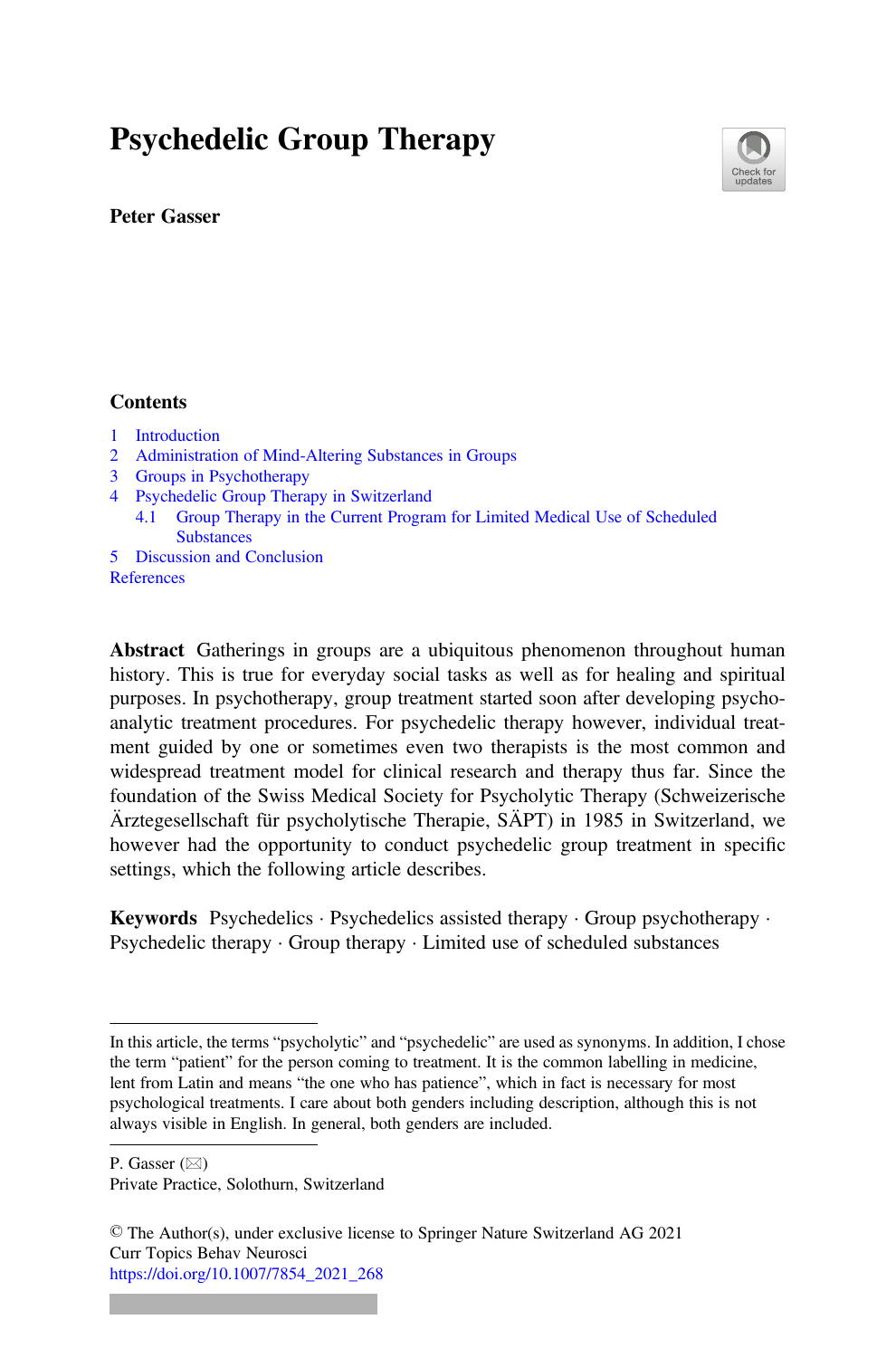# Psychedelic Group Therapy



### Peter Gasser

### Contents

- [1 Introduction](#page-1-0)
- [2 Administration of Mind-Altering Substances in Groups](#page-1-1)
- [3 Groups in Psychotherapy](#page-2-0)
- [4 Psychedelic Group Therapy in Switzerland](#page-4-0)
	- [4.1 Group Therapy in the Current Program for Limited Medical Use of Scheduled](#page-6-0) **[Substances](#page-6-0)**
- [5 Discussion and Conclusion](#page-9-0)
- [References](#page-11-0)

Abstract Gatherings in groups are a ubiquitous phenomenon throughout human history. This is true for everyday social tasks as well as for healing and spiritual purposes. In psychotherapy, group treatment started soon after developing psychoanalytic treatment procedures. For psychedelic therapy however, individual treatment guided by one or sometimes even two therapists is the most common and widespread treatment model for clinical research and therapy thus far. Since the foundation of the Swiss Medical Society for Psycholytic Therapy (Schweizerische Ärztegesellschaft für psycholytische Therapie, SÄPT) in 1985 in Switzerland, we however had the opportunity to conduct psychedelic group treatment in specific settings, which the following article describes.

**Keywords** Psychedelics · Psychedelics assisted therapy  $\cdot$  Group psychotherapy  $\cdot$ Psychedelic therapy · Group therapy · Limited use of scheduled substances

P. Gasser  $(\boxtimes)$ 

Private Practice, Solothurn, Switzerland

© The Author(s), under exclusive license to Springer Nature Switzerland AG 2021 Curr Topics Behav Neurosci [https://doi.org/10.1007/7854\\_2021\\_268](https://doi.org/10.1007/7854_2021_268#DOI)

In this article, the terms "psycholytic" and "psychedelic" are used as synonyms. In addition, I chose the term "patient" for the person coming to treatment. It is the common labelling in medicine, lent from Latin and means "the one who has patience", which in fact is necessary for most psychological treatments. I care about both genders including description, although this is not always visible in English. In general, both genders are included.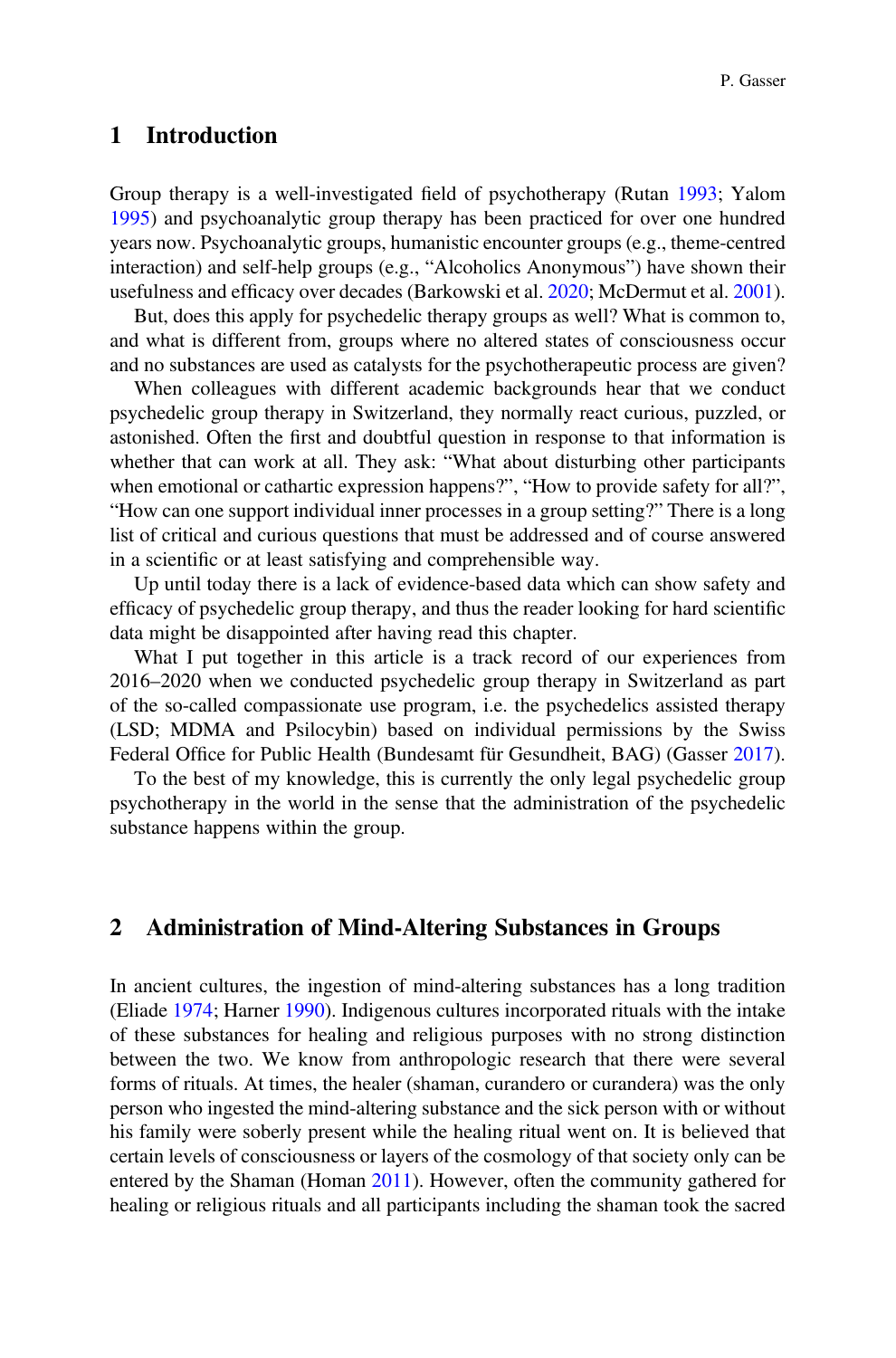### <span id="page-1-0"></span>1 Introduction

Group therapy is a well-investigated field of psychotherapy (Rutan [1993](#page-11-1); Yalom [1995\)](#page-11-2) and psychoanalytic group therapy has been practiced for over one hundred years now. Psychoanalytic groups, humanistic encounter groups (e.g., theme-centred interaction) and self-help groups (e.g., "Alcoholics Anonymous") have shown their usefulness and efficacy over decades (Barkowski et al. [2020;](#page-11-3) McDermut et al. [2001\)](#page-11-4).

But, does this apply for psychedelic therapy groups as well? What is common to, and what is different from, groups where no altered states of consciousness occur and no substances are used as catalysts for the psychotherapeutic process are given?

When colleagues with different academic backgrounds hear that we conduct psychedelic group therapy in Switzerland, they normally react curious, puzzled, or astonished. Often the first and doubtful question in response to that information is whether that can work at all. They ask: "What about disturbing other participants when emotional or cathartic expression happens?", "How to provide safety for all?", "How can one support individual inner processes in a group setting?" There is a long list of critical and curious questions that must be addressed and of course answered in a scientific or at least satisfying and comprehensible way.

Up until today there is a lack of evidence-based data which can show safety and efficacy of psychedelic group therapy, and thus the reader looking for hard scientific data might be disappointed after having read this chapter.

What I put together in this article is a track record of our experiences from 2016–2020 when we conducted psychedelic group therapy in Switzerland as part of the so-called compassionate use program, i.e. the psychedelics assisted therapy (LSD; MDMA and Psilocybin) based on individual permissions by the Swiss Federal Office for Public Health (Bundesamt für Gesundheit, BAG) (Gasser [2017\)](#page-11-5).

To the best of my knowledge, this is currently the only legal psychedelic group psychotherapy in the world in the sense that the administration of the psychedelic substance happens within the group.

### <span id="page-1-1"></span>2 Administration of Mind-Altering Substances in Groups

In ancient cultures, the ingestion of mind-altering substances has a long tradition (Eliade [1974;](#page-11-6) Harner [1990](#page-11-7)). Indigenous cultures incorporated rituals with the intake of these substances for healing and religious purposes with no strong distinction between the two. We know from anthropologic research that there were several forms of rituals. At times, the healer (shaman, curandero or curandera) was the only person who ingested the mind-altering substance and the sick person with or without his family were soberly present while the healing ritual went on. It is believed that certain levels of consciousness or layers of the cosmology of that society only can be entered by the Shaman (Homan [2011](#page-11-8)). However, often the community gathered for healing or religious rituals and all participants including the shaman took the sacred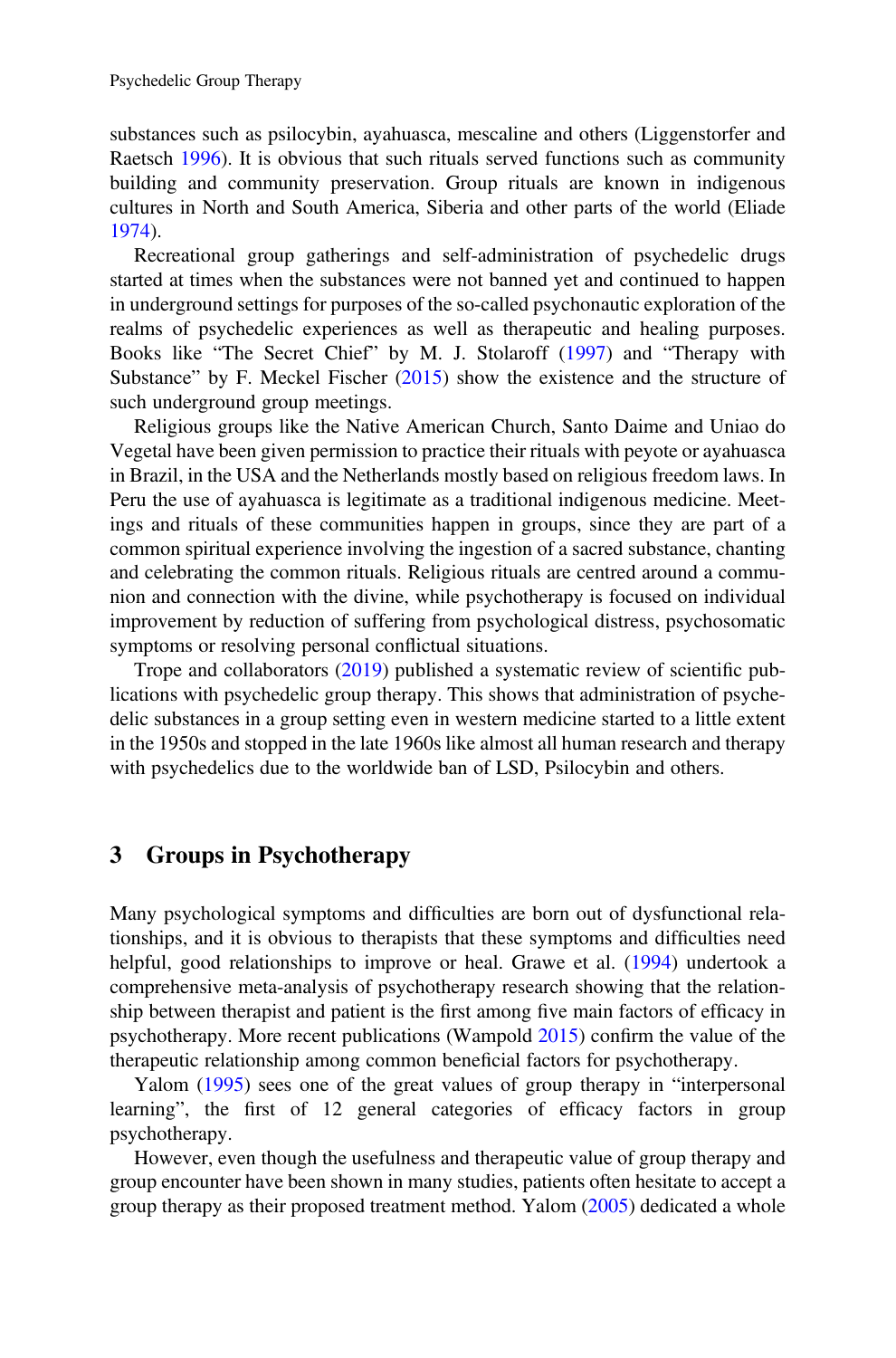substances such as psilocybin, ayahuasca, mescaline and others (Liggenstorfer and Raetsch [1996](#page-11-9)). It is obvious that such rituals served functions such as community building and community preservation. Group rituals are known in indigenous cultures in North and South America, Siberia and other parts of the world (Eliade [1974\)](#page-11-6).

Recreational group gatherings and self-administration of psychedelic drugs started at times when the substances were not banned yet and continued to happen in underground settings for purposes of the so-called psychonautic exploration of the realms of psychedelic experiences as well as therapeutic and healing purposes. Books like "The Secret Chief" by M. J. Stolaroff [\(1997](#page-11-10)) and "Therapy with Substance" by F. Meckel Fischer [\(2015](#page-11-11)) show the existence and the structure of such underground group meetings.

Religious groups like the Native American Church, Santo Daime and Uniao do Vegetal have been given permission to practice their rituals with peyote or ayahuasca in Brazil, in the USA and the Netherlands mostly based on religious freedom laws. In Peru the use of ayahuasca is legitimate as a traditional indigenous medicine. Meetings and rituals of these communities happen in groups, since they are part of a common spiritual experience involving the ingestion of a sacred substance, chanting and celebrating the common rituals. Religious rituals are centred around a communion and connection with the divine, while psychotherapy is focused on individual improvement by reduction of suffering from psychological distress, psychosomatic symptoms or resolving personal conflictual situations.

Trope and collaborators ([2019\)](#page-11-12) published a systematic review of scientific publications with psychedelic group therapy. This shows that administration of psychedelic substances in a group setting even in western medicine started to a little extent in the 1950s and stopped in the late 1960s like almost all human research and therapy with psychedelics due to the worldwide ban of LSD, Psilocybin and others.

# <span id="page-2-0"></span>3 Groups in Psychotherapy

Many psychological symptoms and difficulties are born out of dysfunctional relationships, and it is obvious to therapists that these symptoms and difficulties need helpful, good relationships to improve or heal. Grawe et al. ([1994](#page-11-13)) undertook a comprehensive meta-analysis of psychotherapy research showing that the relationship between therapist and patient is the first among five main factors of efficacy in psychotherapy. More recent publications (Wampold [2015\)](#page-11-14) confirm the value of the therapeutic relationship among common beneficial factors for psychotherapy.

Yalom ([1995\)](#page-11-2) sees one of the great values of group therapy in "interpersonal learning", the first of 12 general categories of efficacy factors in group psychotherapy.

However, even though the usefulness and therapeutic value of group therapy and group encounter have been shown in many studies, patients often hesitate to accept a group therapy as their proposed treatment method. Yalom ([2005](#page-11-15)) dedicated a whole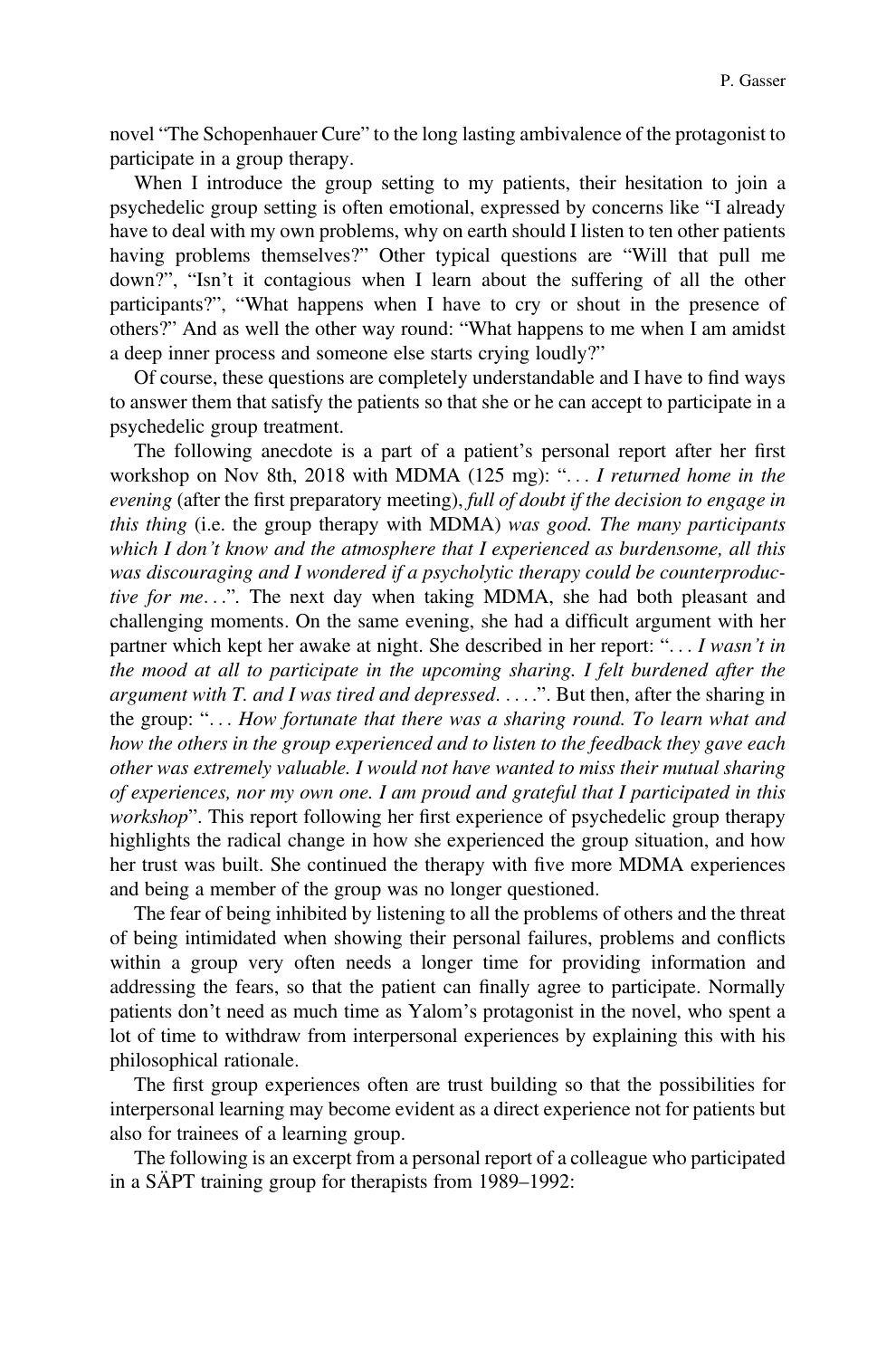novel "The Schopenhauer Cure" to the long lasting ambivalence of the protagonist to participate in a group therapy.

When I introduce the group setting to my patients, their hesitation to join a psychedelic group setting is often emotional, expressed by concerns like "I already have to deal with my own problems, why on earth should I listen to ten other patients having problems themselves?" Other typical questions are "Will that pull me down?", "Isn't it contagious when I learn about the suffering of all the other participants?", "What happens when I have to cry or shout in the presence of others?" And as well the other way round: "What happens to me when I am amidst a deep inner process and someone else starts crying loudly?"

Of course, these questions are completely understandable and I have to find ways to answer them that satisfy the patients so that she or he can accept to participate in a psychedelic group treatment.

The following anecdote is a part of a patient's personal report after her first workshop on Nov 8th, 2018 with MDMA (125 mg): "... I returned home in the evening (after the first preparatory meeting), full of doubt if the decision to engage in this thing (i.e. the group therapy with MDMA) was good. The many participants which I don't know and the atmosphere that I experienced as burdensome, all this was discouraging and I wondered if a psycholytic therapy could be counterproductive for me...". The next day when taking MDMA, she had both pleasant and challenging moments. On the same evening, she had a difficult argument with her partner which kept her awake at night. She described in her report: "... I wasn't in the mood at all to participate in the upcoming sharing. I felt burdened after the argument with T, and I was tired and depressed.  $\dots$ ". But then, after the sharing in the group: "... How fortunate that there was a sharing round. To learn what and how the others in the group experienced and to listen to the feedback they gave each other was extremely valuable. I would not have wanted to miss their mutual sharing of experiences, nor my own one. I am proud and grateful that I participated in this workshop". This report following her first experience of psychedelic group therapy highlights the radical change in how she experienced the group situation, and how her trust was built. She continued the therapy with five more MDMA experiences and being a member of the group was no longer questioned.

The fear of being inhibited by listening to all the problems of others and the threat of being intimidated when showing their personal failures, problems and conflicts within a group very often needs a longer time for providing information and addressing the fears, so that the patient can finally agree to participate. Normally patients don't need as much time as Yalom's protagonist in the novel, who spent a lot of time to withdraw from interpersonal experiences by explaining this with his philosophical rationale.

The first group experiences often are trust building so that the possibilities for interpersonal learning may become evident as a direct experience not for patients but also for trainees of a learning group.

The following is an excerpt from a personal report of a colleague who participated in a SÄPT training group for therapists from 1989–1992: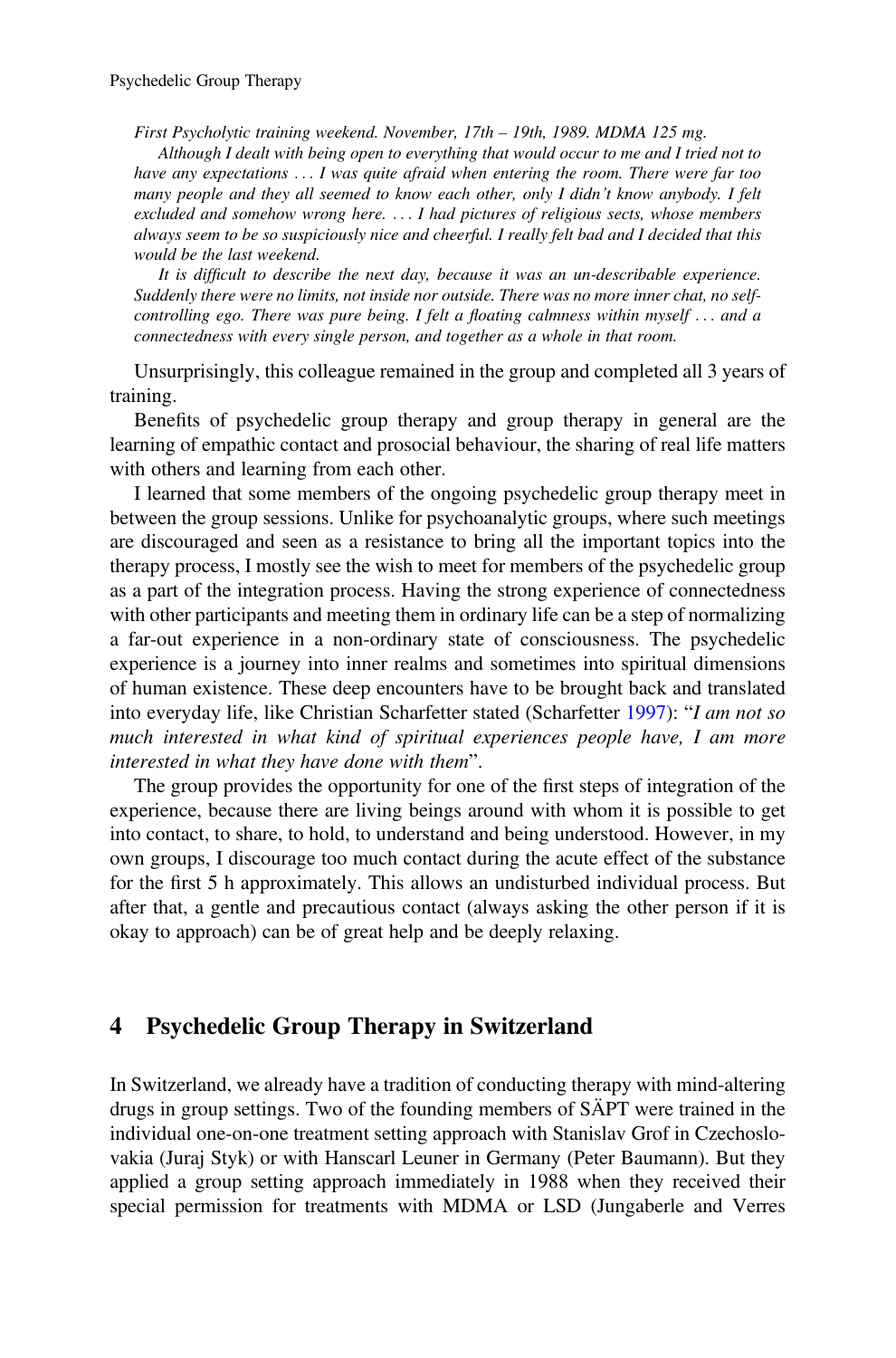#### Psychedelic Group Therapy

First Psycholytic training weekend. November, 17th – 19th, 1989. MDMA 125 mg.

Although I dealt with being open to everything that would occur to me and I tried not to have any expectations ... I was quite afraid when entering the room. There were far too many people and they all seemed to know each other, only I didn't know anybody. I felt excluded and somehow wrong here. ... I had pictures of religious sects, whose members always seem to be so suspiciously nice and cheerful. I really felt bad and I decided that this would be the last weekend.

It is difficult to describe the next day, because it was an un-describable experience. Suddenly there were no limits, not inside nor outside. There was no more inner chat, no selfcontrolling ego. There was pure being. I felt a floating calmness within myself ... and a connectedness with every single person, and together as a whole in that room.

Unsurprisingly, this colleague remained in the group and completed all 3 years of training.

Benefits of psychedelic group therapy and group therapy in general are the learning of empathic contact and prosocial behaviour, the sharing of real life matters with others and learning from each other.

I learned that some members of the ongoing psychedelic group therapy meet in between the group sessions. Unlike for psychoanalytic groups, where such meetings are discouraged and seen as a resistance to bring all the important topics into the therapy process, I mostly see the wish to meet for members of the psychedelic group as a part of the integration process. Having the strong experience of connectedness with other participants and meeting them in ordinary life can be a step of normalizing a far-out experience in a non-ordinary state of consciousness. The psychedelic experience is a journey into inner realms and sometimes into spiritual dimensions of human existence. These deep encounters have to be brought back and translated into everyday life, like Christian Scharfetter stated (Scharfetter [1997\)](#page-11-16): "I am not so much interested in what kind of spiritual experiences people have, I am more interested in what they have done with them".

The group provides the opportunity for one of the first steps of integration of the experience, because there are living beings around with whom it is possible to get into contact, to share, to hold, to understand and being understood. However, in my own groups, I discourage too much contact during the acute effect of the substance for the first 5 h approximately. This allows an undisturbed individual process. But after that, a gentle and precautious contact (always asking the other person if it is okay to approach) can be of great help and be deeply relaxing.

# <span id="page-4-0"></span>4 Psychedelic Group Therapy in Switzerland

In Switzerland, we already have a tradition of conducting therapy with mind-altering drugs in group settings. Two of the founding members of SÄPT were trained in the individual one-on-one treatment setting approach with Stanislav Grof in Czechoslovakia (Juraj Styk) or with Hanscarl Leuner in Germany (Peter Baumann). But they applied a group setting approach immediately in 1988 when they received their special permission for treatments with MDMA or LSD (Jungaberle and Verres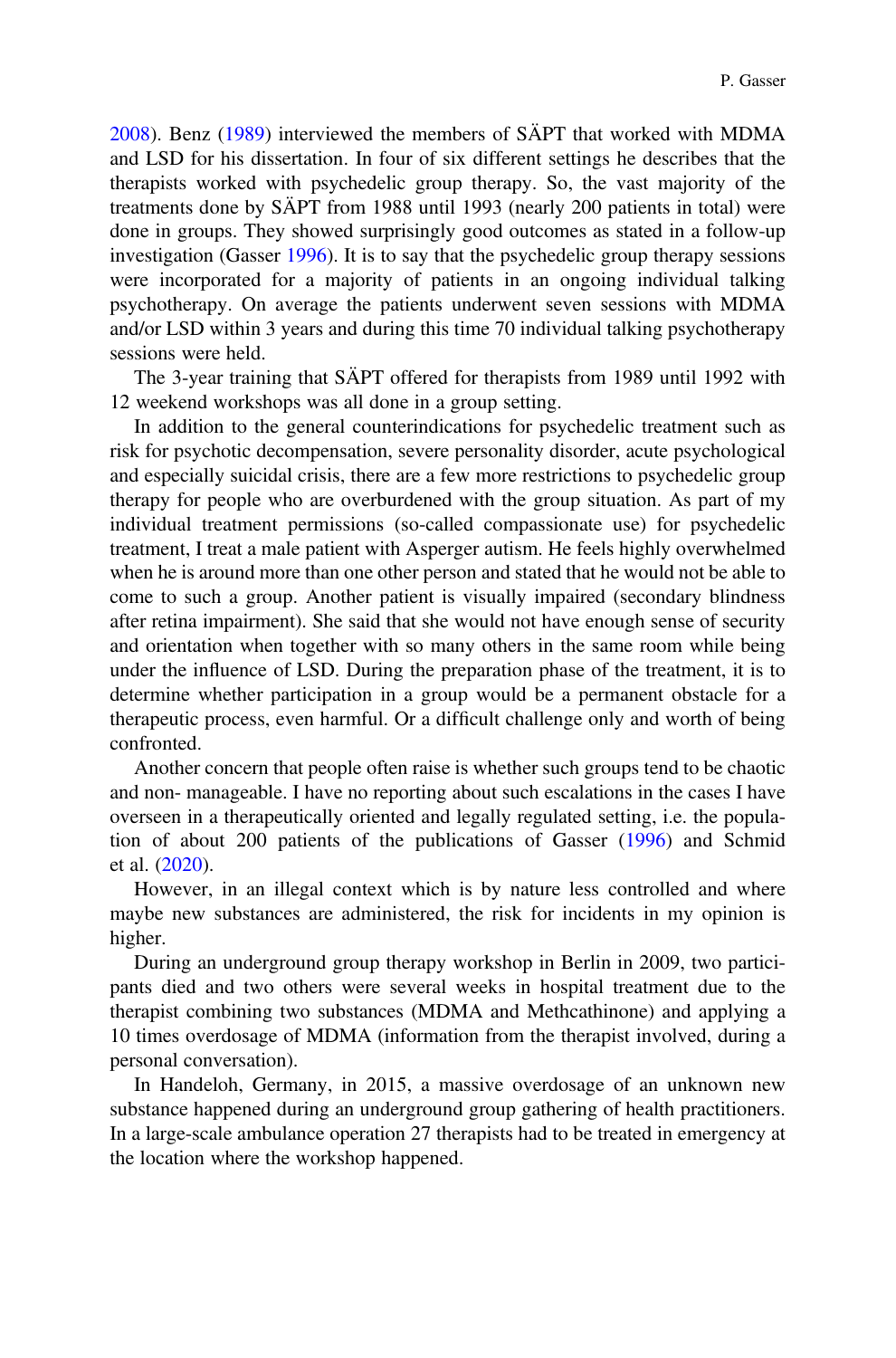[2008\)](#page-11-17). Benz [\(1989\)](#page-11-18) interviewed the members of SÄPT that worked with MDMA and LSD for his dissertation. In four of six different settings he describes that the therapists worked with psychedelic group therapy. So, the vast majority of the treatments done by SÄPT from 1988 until 1993 (nearly 200 patients in total) were done in groups. They showed surprisingly good outcomes as stated in a follow-up investigation (Gasser [1996](#page-11-19)). It is to say that the psychedelic group therapy sessions were incorporated for a majority of patients in an ongoing individual talking psychotherapy. On average the patients underwent seven sessions with MDMA and/or LSD within 3 years and during this time 70 individual talking psychotherapy sessions were held.

The 3-year training that SÄPT offered for therapists from 1989 until 1992 with 12 weekend workshops was all done in a group setting.

In addition to the general counterindications for psychedelic treatment such as risk for psychotic decompensation, severe personality disorder, acute psychological and especially suicidal crisis, there are a few more restrictions to psychedelic group therapy for people who are overburdened with the group situation. As part of my individual treatment permissions (so-called compassionate use) for psychedelic treatment, I treat a male patient with Asperger autism. He feels highly overwhelmed when he is around more than one other person and stated that he would not be able to come to such a group. Another patient is visually impaired (secondary blindness after retina impairment). She said that she would not have enough sense of security and orientation when together with so many others in the same room while being under the influence of LSD. During the preparation phase of the treatment, it is to determine whether participation in a group would be a permanent obstacle for a therapeutic process, even harmful. Or a difficult challenge only and worth of being confronted.

Another concern that people often raise is whether such groups tend to be chaotic and non- manageable. I have no reporting about such escalations in the cases I have overseen in a therapeutically oriented and legally regulated setting, i.e. the population of about 200 patients of the publications of Gasser ([1996\)](#page-11-19) and Schmid et al. [\(2020](#page-11-20)).

However, in an illegal context which is by nature less controlled and where maybe new substances are administered, the risk for incidents in my opinion is higher.

During an underground group therapy workshop in Berlin in 2009, two participants died and two others were several weeks in hospital treatment due to the therapist combining two substances (MDMA and Methcathinone) and applying a 10 times overdosage of MDMA (information from the therapist involved, during a personal conversation).

In Handeloh, Germany, in 2015, a massive overdosage of an unknown new substance happened during an underground group gathering of health practitioners. In a large-scale ambulance operation 27 therapists had to be treated in emergency at the location where the workshop happened.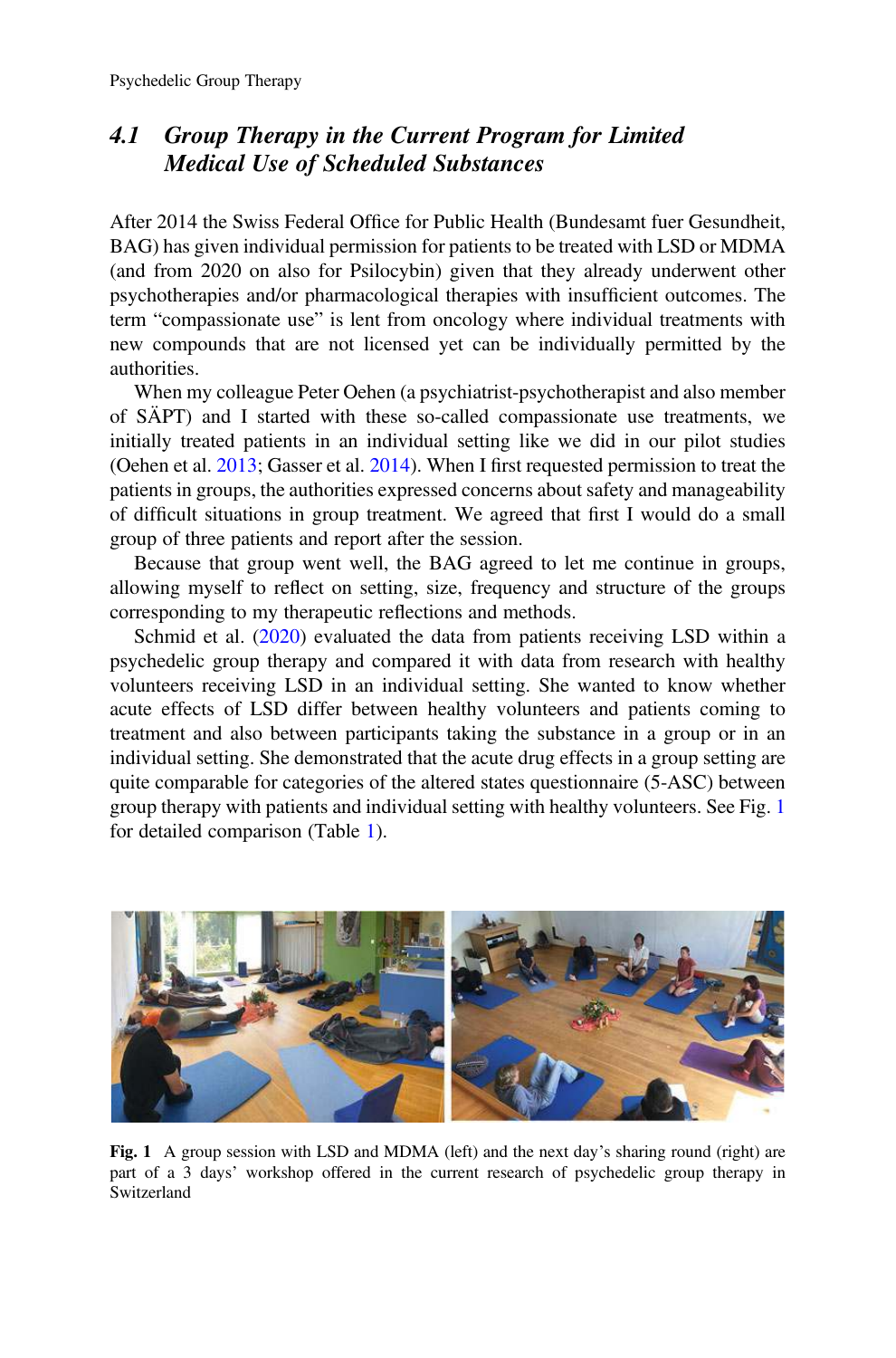# <span id="page-6-0"></span>4.1 Group Therapy in the Current Program for Limited Medical Use of Scheduled Substances

After 2014 the Swiss Federal Office for Public Health (Bundesamt fuer Gesundheit, BAG) has given individual permission for patients to be treated with LSD or MDMA (and from 2020 on also for Psilocybin) given that they already underwent other psychotherapies and/or pharmacological therapies with insufficient outcomes. The term "compassionate use" is lent from oncology where individual treatments with new compounds that are not licensed yet can be individually permitted by the authorities.

When my colleague Peter Oehen (a psychiatrist-psychotherapist and also member of SÄPT) and I started with these so-called compassionate use treatments, we initially treated patients in an individual setting like we did in our pilot studies (Oehen et al. [2013](#page-11-21); Gasser et al. [2014](#page-11-22)). When I first requested permission to treat the patients in groups, the authorities expressed concerns about safety and manageability of difficult situations in group treatment. We agreed that first I would do a small group of three patients and report after the session.

Because that group went well, the BAG agreed to let me continue in groups, allowing myself to reflect on setting, size, frequency and structure of the groups corresponding to my therapeutic reflections and methods.

Schmid et al. [\(2020](#page-11-20)) evaluated the data from patients receiving LSD within a psychedelic group therapy and compared it with data from research with healthy volunteers receiving LSD in an individual setting. She wanted to know whether acute effects of LSD differ between healthy volunteers and patients coming to treatment and also between participants taking the substance in a group or in an individual setting. She demonstrated that the acute drug effects in a group setting are quite comparable for categories of the altered states questionnaire (5-ASC) between group therapy with patients and individual setting with healthy volunteers. See Fig. [1](#page-6-1) for detailed comparison (Table [1](#page-7-0)).

<span id="page-6-1"></span>

Fig. 1 A group session with LSD and MDMA (left) and the next day's sharing round (right) are part of a 3 days' workshop offered in the current research of psychedelic group therapy in Switzerland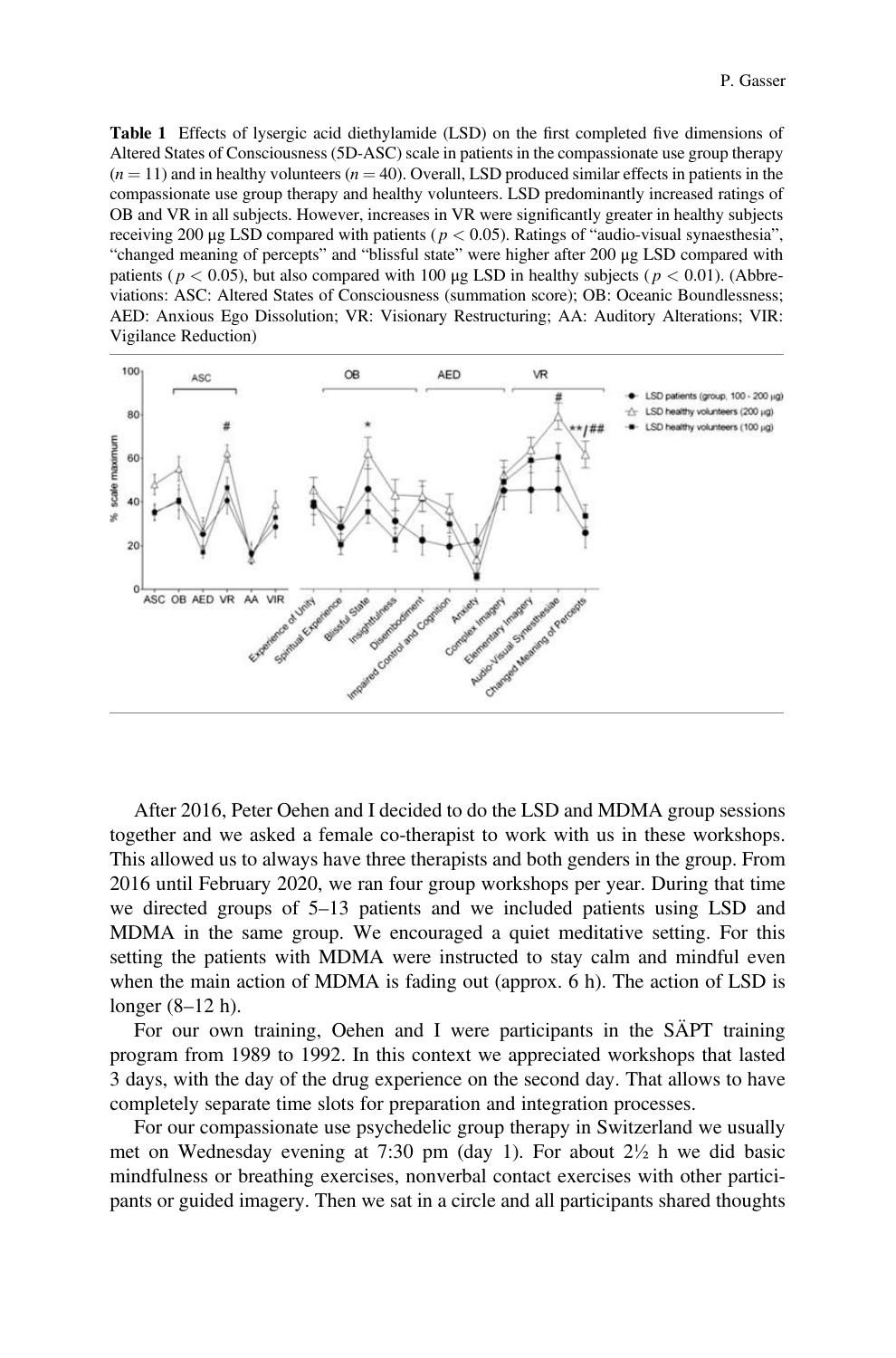<span id="page-7-0"></span>Table 1 Effects of lysergic acid diethylamide (LSD) on the first completed five dimensions of Altered States of Consciousness (5D-ASC) scale in patients in the compassionate use group therapy  $(n = 11)$  and in healthy volunteers  $(n = 40)$ . Overall, LSD produced similar effects in patients in the compassionate use group therapy and healthy volunteers. LSD predominantly increased ratings of OB and VR in all subjects. However, increases in VR were significantly greater in healthy subjects receiving 200 μg LSD compared with patients ( $p < 0.05$ ). Ratings of "audio-visual synaesthesia", "changed meaning of percepts" and "blissful state" were higher after 200 μg LSD compared with patients ( $p < 0.05$ ), but also compared with 100 μg LSD in healthy subjects ( $p < 0.01$ ). (Abbreviations: ASC: Altered States of Consciousness (summation score); OB: Oceanic Boundlessness; AED: Anxious Ego Dissolution; VR: Visionary Restructuring; AA: Auditory Alterations; VIR: Vigilance Reduction)



After 2016, Peter Oehen and I decided to do the LSD and MDMA group sessions together and we asked a female co-therapist to work with us in these workshops. This allowed us to always have three therapists and both genders in the group. From 2016 until February 2020, we ran four group workshops per year. During that time we directed groups of 5–13 patients and we included patients using LSD and MDMA in the same group. We encouraged a quiet meditative setting. For this setting the patients with MDMA were instructed to stay calm and mindful even when the main action of MDMA is fading out (approx. 6 h). The action of LSD is longer (8–12 h).

For our own training, Oehen and I were participants in the SÄPT training program from 1989 to 1992. In this context we appreciated workshops that lasted 3 days, with the day of the drug experience on the second day. That allows to have completely separate time slots for preparation and integration processes.

For our compassionate use psychedelic group therapy in Switzerland we usually met on Wednesday evening at 7:30 pm (day 1). For about 2½ h we did basic mindfulness or breathing exercises, nonverbal contact exercises with other participants or guided imagery. Then we sat in a circle and all participants shared thoughts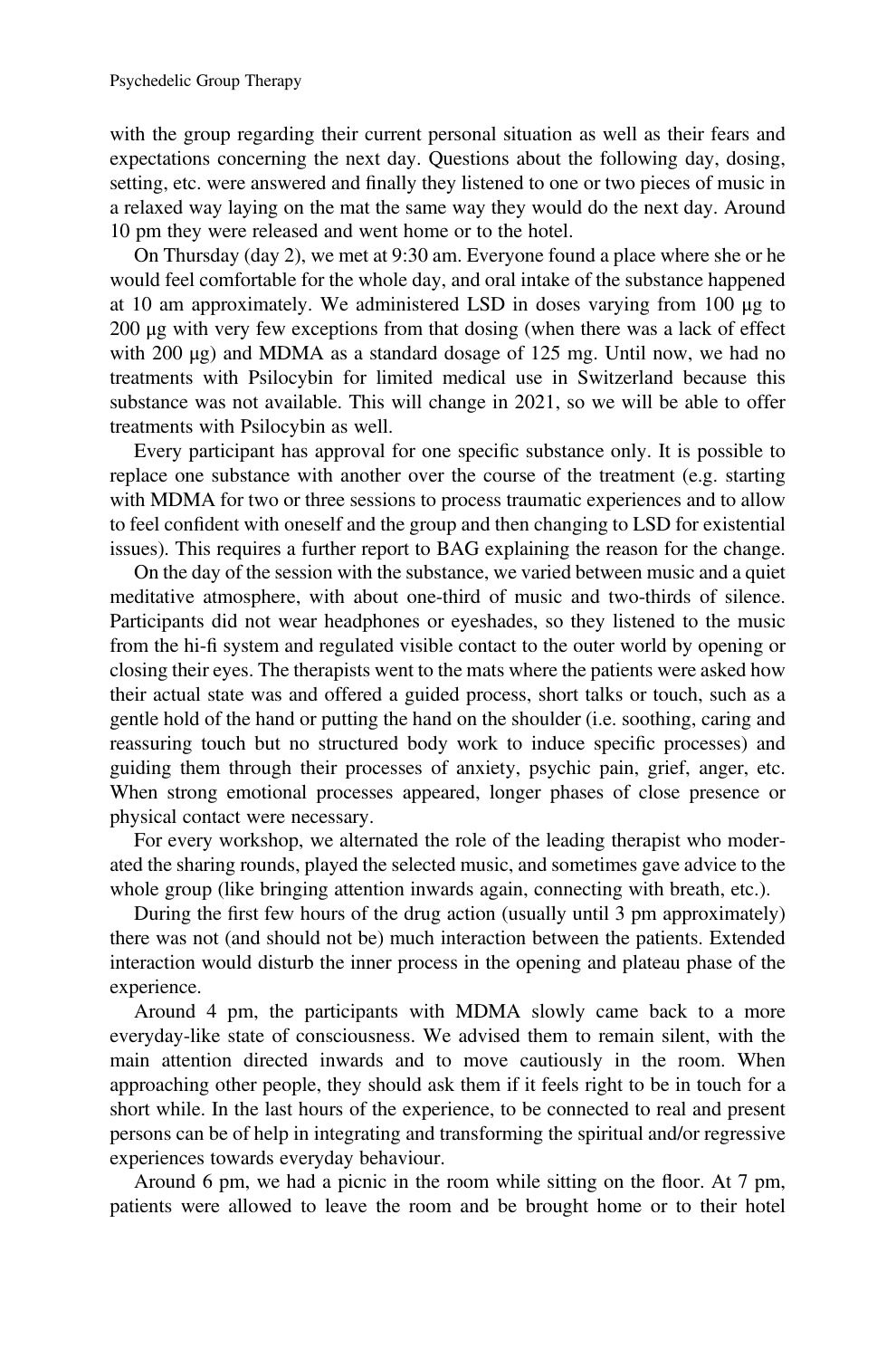with the group regarding their current personal situation as well as their fears and expectations concerning the next day. Questions about the following day, dosing, setting, etc. were answered and finally they listened to one or two pieces of music in a relaxed way laying on the mat the same way they would do the next day. Around 10 pm they were released and went home or to the hotel.

On Thursday (day 2), we met at 9:30 am. Everyone found a place where she or he would feel comfortable for the whole day, and oral intake of the substance happened at 10 am approximately. We administered LSD in doses varying from 100 μg to 200 μg with very few exceptions from that dosing (when there was a lack of effect with 200 μg) and MDMA as a standard dosage of 125 mg. Until now, we had no treatments with Psilocybin for limited medical use in Switzerland because this substance was not available. This will change in 2021, so we will be able to offer treatments with Psilocybin as well.

Every participant has approval for one specific substance only. It is possible to replace one substance with another over the course of the treatment (e.g. starting with MDMA for two or three sessions to process traumatic experiences and to allow to feel confident with oneself and the group and then changing to LSD for existential issues). This requires a further report to BAG explaining the reason for the change.

On the day of the session with the substance, we varied between music and a quiet meditative atmosphere, with about one-third of music and two-thirds of silence. Participants did not wear headphones or eyeshades, so they listened to the music from the hi-fi system and regulated visible contact to the outer world by opening or closing their eyes. The therapists went to the mats where the patients were asked how their actual state was and offered a guided process, short talks or touch, such as a gentle hold of the hand or putting the hand on the shoulder (i.e. soothing, caring and reassuring touch but no structured body work to induce specific processes) and guiding them through their processes of anxiety, psychic pain, grief, anger, etc. When strong emotional processes appeared, longer phases of close presence or physical contact were necessary.

For every workshop, we alternated the role of the leading therapist who moderated the sharing rounds, played the selected music, and sometimes gave advice to the whole group (like bringing attention inwards again, connecting with breath, etc.).

During the first few hours of the drug action (usually until 3 pm approximately) there was not (and should not be) much interaction between the patients. Extended interaction would disturb the inner process in the opening and plateau phase of the experience.

Around 4 pm, the participants with MDMA slowly came back to a more everyday-like state of consciousness. We advised them to remain silent, with the main attention directed inwards and to move cautiously in the room. When approaching other people, they should ask them if it feels right to be in touch for a short while. In the last hours of the experience, to be connected to real and present persons can be of help in integrating and transforming the spiritual and/or regressive experiences towards everyday behaviour.

Around 6 pm, we had a picnic in the room while sitting on the floor. At 7 pm, patients were allowed to leave the room and be brought home or to their hotel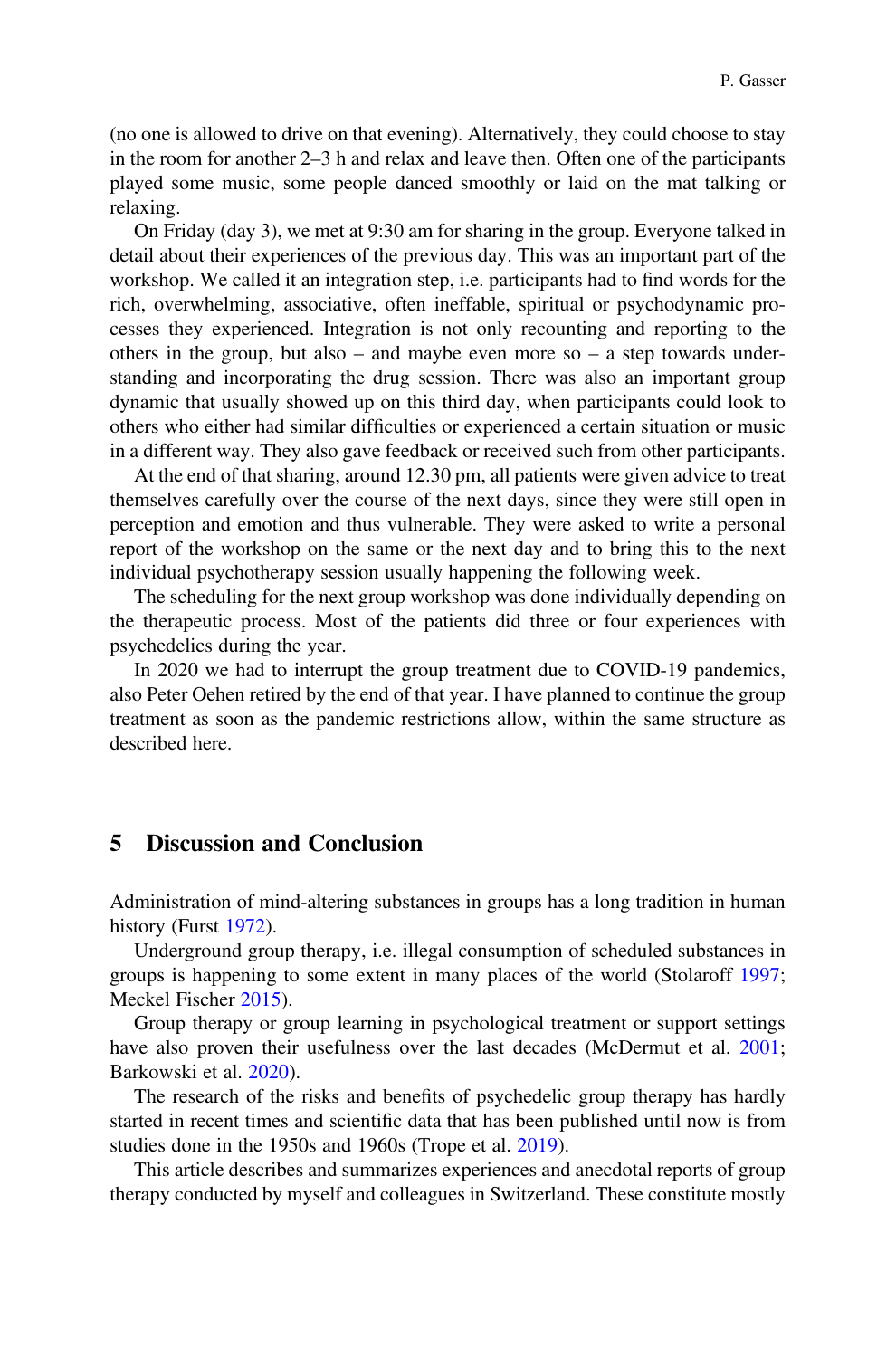(no one is allowed to drive on that evening). Alternatively, they could choose to stay in the room for another 2–3 h and relax and leave then. Often one of the participants played some music, some people danced smoothly or laid on the mat talking or relaxing.

On Friday (day 3), we met at 9:30 am for sharing in the group. Everyone talked in detail about their experiences of the previous day. This was an important part of the workshop. We called it an integration step, i.e. participants had to find words for the rich, overwhelming, associative, often ineffable, spiritual or psychodynamic processes they experienced. Integration is not only recounting and reporting to the others in the group, but also – and maybe even more so – a step towards understanding and incorporating the drug session. There was also an important group dynamic that usually showed up on this third day, when participants could look to others who either had similar difficulties or experienced a certain situation or music in a different way. They also gave feedback or received such from other participants.

At the end of that sharing, around 12.30 pm, all patients were given advice to treat themselves carefully over the course of the next days, since they were still open in perception and emotion and thus vulnerable. They were asked to write a personal report of the workshop on the same or the next day and to bring this to the next individual psychotherapy session usually happening the following week.

The scheduling for the next group workshop was done individually depending on the therapeutic process. Most of the patients did three or four experiences with psychedelics during the year.

In 2020 we had to interrupt the group treatment due to COVID-19 pandemics, also Peter Oehen retired by the end of that year. I have planned to continue the group treatment as soon as the pandemic restrictions allow, within the same structure as described here.

# <span id="page-9-0"></span>5 Discussion and Conclusion

Administration of mind-altering substances in groups has a long tradition in human history (Furst [1972](#page-11-23)).

Underground group therapy, i.e. illegal consumption of scheduled substances in groups is happening to some extent in many places of the world (Stolaroff [1997;](#page-11-10) Meckel Fischer [2015](#page-11-11)).

Group therapy or group learning in psychological treatment or support settings have also proven their usefulness over the last decades (McDermut et al. [2001;](#page-11-4) Barkowski et al. [2020\)](#page-11-3).

The research of the risks and benefits of psychedelic group therapy has hardly started in recent times and scientific data that has been published until now is from studies done in the 1950s and 1960s (Trope et al. [2019\)](#page-11-12).

This article describes and summarizes experiences and anecdotal reports of group therapy conducted by myself and colleagues in Switzerland. These constitute mostly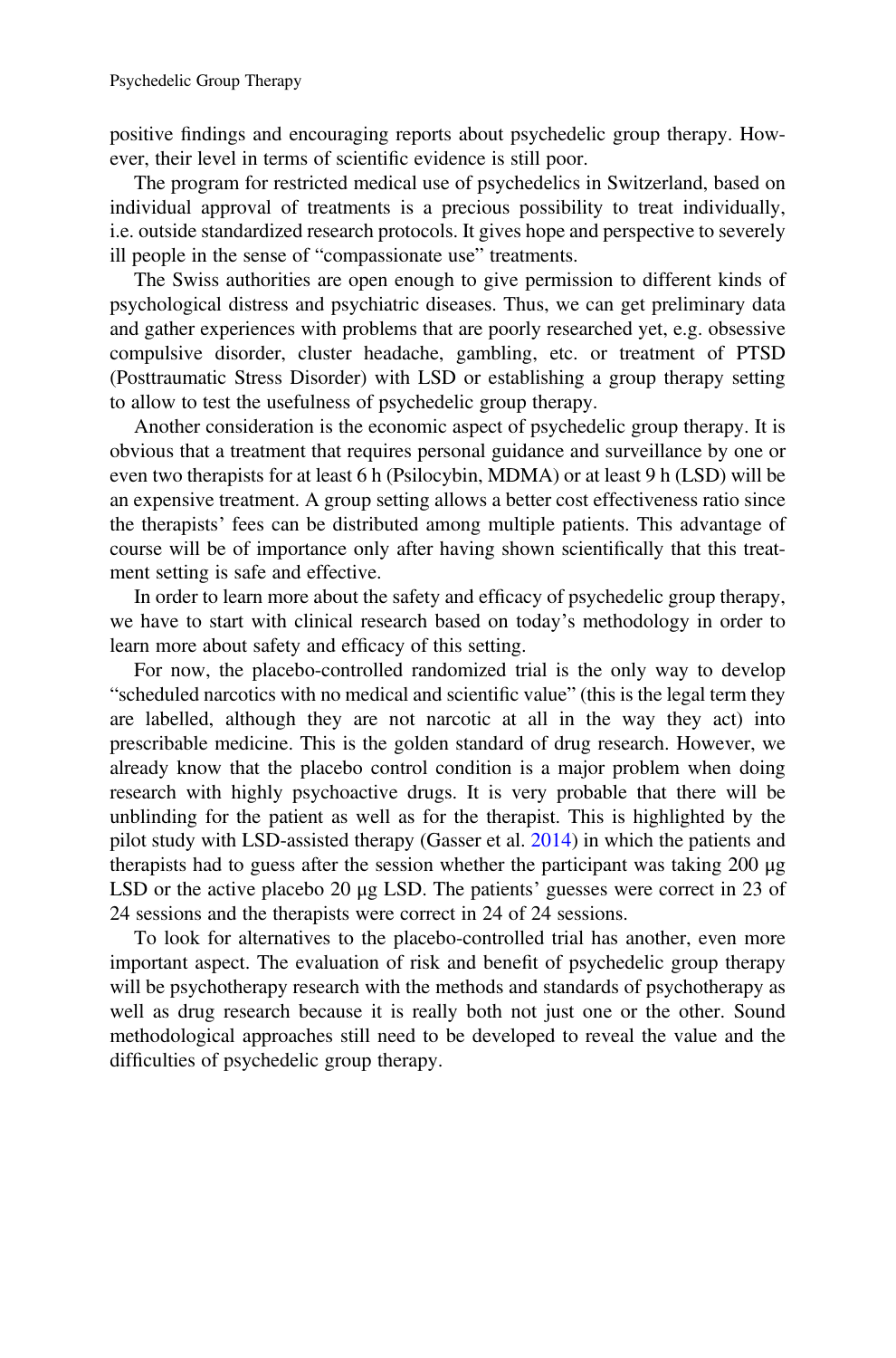positive findings and encouraging reports about psychedelic group therapy. However, their level in terms of scientific evidence is still poor.

The program for restricted medical use of psychedelics in Switzerland, based on individual approval of treatments is a precious possibility to treat individually, i.e. outside standardized research protocols. It gives hope and perspective to severely ill people in the sense of "compassionate use" treatments.

The Swiss authorities are open enough to give permission to different kinds of psychological distress and psychiatric diseases. Thus, we can get preliminary data and gather experiences with problems that are poorly researched yet, e.g. obsessive compulsive disorder, cluster headache, gambling, etc. or treatment of PTSD (Posttraumatic Stress Disorder) with LSD or establishing a group therapy setting to allow to test the usefulness of psychedelic group therapy.

Another consideration is the economic aspect of psychedelic group therapy. It is obvious that a treatment that requires personal guidance and surveillance by one or even two therapists for at least 6 h (Psilocybin, MDMA) or at least 9 h (LSD) will be an expensive treatment. A group setting allows a better cost effectiveness ratio since the therapists' fees can be distributed among multiple patients. This advantage of course will be of importance only after having shown scientifically that this treatment setting is safe and effective.

In order to learn more about the safety and efficacy of psychedelic group therapy, we have to start with clinical research based on today's methodology in order to learn more about safety and efficacy of this setting.

For now, the placebo-controlled randomized trial is the only way to develop "scheduled narcotics with no medical and scientific value" (this is the legal term they are labelled, although they are not narcotic at all in the way they act) into prescribable medicine. This is the golden standard of drug research. However, we already know that the placebo control condition is a major problem when doing research with highly psychoactive drugs. It is very probable that there will be unblinding for the patient as well as for the therapist. This is highlighted by the pilot study with LSD-assisted therapy (Gasser et al. [2014](#page-11-22)) in which the patients and therapists had to guess after the session whether the participant was taking 200 μg LSD or the active placebo 20 μg LSD. The patients' guesses were correct in 23 of 24 sessions and the therapists were correct in 24 of 24 sessions.

To look for alternatives to the placebo-controlled trial has another, even more important aspect. The evaluation of risk and benefit of psychedelic group therapy will be psychotherapy research with the methods and standards of psychotherapy as well as drug research because it is really both not just one or the other. Sound methodological approaches still need to be developed to reveal the value and the difficulties of psychedelic group therapy.